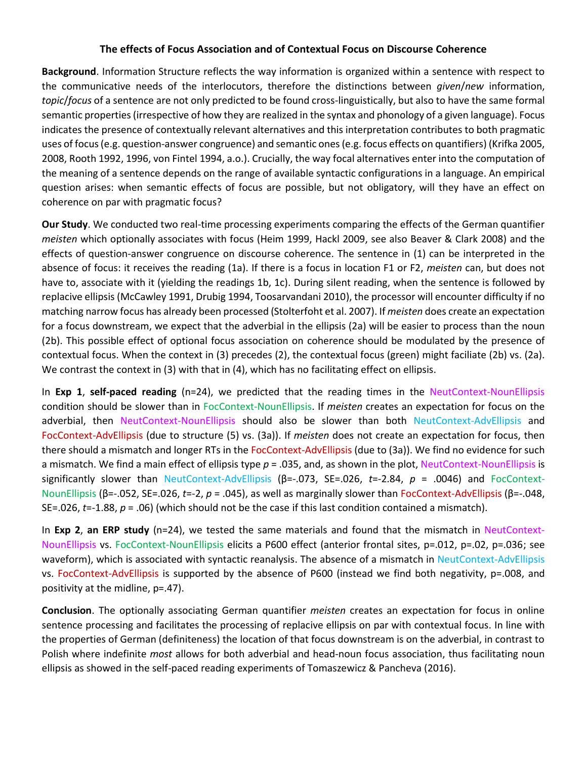## **The effects of Focus Association and of Contextual Focus on Discourse Coherence**

**Background**. Information Structure reflects the way information is organized within a sentence with respect to the communicative needs of the interlocutors, therefore the distinctions between *given*/*new* information, *topic*/*focus* of a sentence are not only predicted to be found cross-linguistically, but also to have the same formal semantic properties(irrespective of how they are realized in the syntax and phonology of a given language). Focus indicates the presence of contextually relevant alternatives and this interpretation contributes to both pragmatic uses of focus (e.g. question-answer congruence) and semantic ones (e.g. focus effects on quantifiers) (Krifka 2005, 2008, Rooth 1992, 1996, von Fintel 1994, a.o.). Crucially, the way focal alternatives enter into the computation of the meaning of a sentence depends on the range of available syntactic configurations in a language. An empirical question arises: when semantic effects of focus are possible, but not obligatory, will they have an effect on coherence on par with pragmatic focus?

**Our Study**. We conducted two real-time processing experiments comparing the effects of the German quantifier *meisten* which optionally associates with focus (Heim 1999, Hackl 2009, see also Beaver & Clark 2008) and the effects of question-answer congruence on discourse coherence. The sentence in (1) can be interpreted in the absence of focus: it receives the reading (1a). If there is a focus in location F1 or F2, *meisten* can, but does not have to, associate with it (yielding the readings 1b, 1c). During silent reading, when the sentence is followed by replacive ellipsis (McCawley 1991, Drubig 1994, Toosarvandani 2010), the processor will encounter difficulty if no matching narrow focus has already been processed (Stolterfoht et al. 2007). If *meisten* does create an expectation for a focus downstream, we expect that the adverbial in the ellipsis (2a) will be easier to process than the noun (2b). This possible effect of optional focus association on coherence should be modulated by the presence of contextual focus. When the context in (3) precedes (2), the contextual focus (green) might faciliate (2b) vs. (2a). We contrast the context in (3) with that in (4), which has no facilitating effect on ellipsis.

In **Exp 1**, **self-paced reading** (n=24), we predicted that the reading times in the NeutContext-NounEllipsis condition should be slower than in FocContext-NounEllipsis. If *meisten* creates an expectation for focus on the adverbial, then NeutContext-NounEllipsis should also be slower than both NeutContext-AdvEllipsis and FocContext-AdvEllipsis (due to structure (5) vs. (3a)). If *meisten* does not create an expectation for focus, then there should a mismatch and longer RTs in the FocContext-AdvEllipsis (due to (3a)). We find no evidence for such a mismatch. We find a main effect of ellipsis type *p* = .035, and, as shown in the plot, NeutContext-NounEllipsis is significantly slower than NeutContext-AdvEllipsis (β=-.073, SE=.026, *t*=-2.84, *p* = .0046) and FocContext-NounEllipsis (β=-.052, SE=.026, *t*=-2, *p* = .045), as well as marginally slower than FocContext-AdvEllipsis (β=-.048, SE=.026, *t*=-1.88, *p* = .06) (which should not be the case if this last condition contained a mismatch).

In **Exp 2**, **an ERP study** (n=24), we tested the same materials and found that the mismatch in NeutContext-NounEllipsis vs. FocContext-NounEllipsis elicits a P600 effect (anterior frontal sites, p=.012, p=.02, p=.036; see waveform), which is associated with syntactic reanalysis. The absence of a mismatch in NeutContext-AdvEllipsis vs. FocContext-AdvEllipsis is supported by the absence of P600 (instead we find both negativity, p=.008, and positivity at the midline, p=.47).

**Conclusion**. The optionally associating German quantifier *meisten* creates an expectation for focus in online sentence processing and facilitates the processing of replacive ellipsis on par with contextual focus. In line with the properties of German (definiteness) the location of that focus downstream is on the adverbial, in contrast to Polish where indefinite *most* allows for both adverbial and head-noun focus association, thus facilitating noun ellipsis as showed in the self-paced reading experiments of Tomaszewicz & Pancheva (2016).